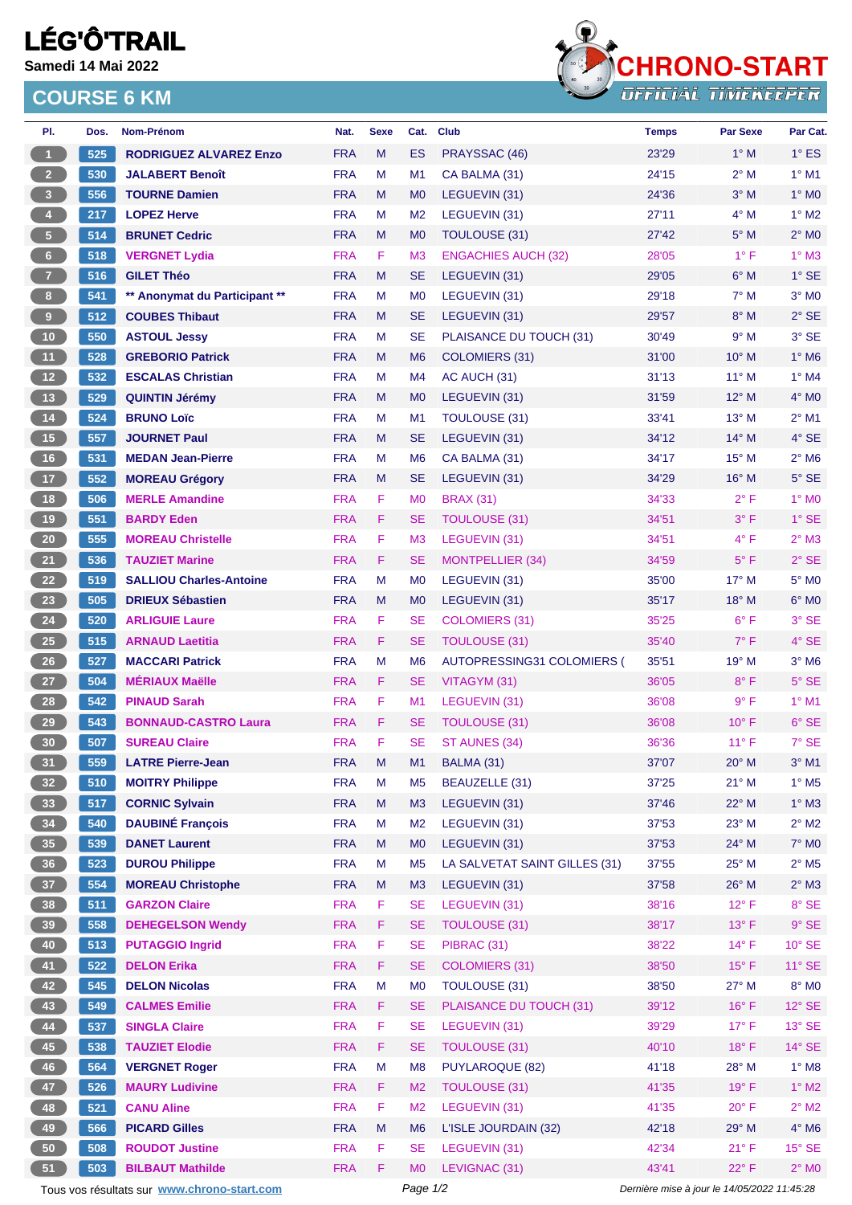## **LÉG'Ô'TRAIL**

**Samedi 14 Mai 2022**

## **COURSE 6 KM**



| PI.                     | Dos. | Nom-Prénom                                  | Nat.       | <b>Sexe</b> | Cat.           | <b>Club</b>                   | <b>Temps</b>                                | Par Sexe       | Par Cat.                 |
|-------------------------|------|---------------------------------------------|------------|-------------|----------------|-------------------------------|---------------------------------------------|----------------|--------------------------|
| $\mathbf{1}$            | 525  | <b>RODRIGUEZ ALVAREZ Enzo</b>               | <b>FRA</b> | M           | ES             | PRAYSSAC (46)                 | 23'29                                       | $1^\circ$ M    | $1^\circ$ ES             |
| $\overline{2}$          | 530  | <b>JALABERT Benoît</b>                      | <b>FRA</b> | M           | M1             | CA BALMA (31)                 | 24'15                                       | $2^{\circ}$ M  | $1^\circ$ M1             |
| $\overline{\mathbf{3}}$ | 556  | <b>TOURNE Damien</b>                        | <b>FRA</b> | M           | M <sub>0</sub> | LEGUEVIN (31)                 | 24'36                                       | $3^\circ$ M    | $1^\circ$ MO             |
| $\overline{4}$          | 217  | <b>LOPEZ Herve</b>                          | <b>FRA</b> | М           | M <sub>2</sub> | LEGUEVIN (31)                 | 27'11                                       | $4^\circ$ M    | $1^\circ$ M2             |
| $\sqrt{5}$              | 514  | <b>BRUNET Cedric</b>                        | <b>FRA</b> | M           | M <sub>0</sub> | TOULOUSE (31)                 | 27'42                                       | $5^\circ$ M    | $2^\circ$ MO             |
| $\bf{6}$                | 518  | <b>VERGNET Lydia</b>                        | <b>FRA</b> | F.          | M <sub>3</sub> | <b>ENGACHIES AUCH (32)</b>    | 28'05                                       | $1^{\circ}$ F  | $1^\circ$ M3             |
| $\mathbf{7}$            | 516  | <b>GILET Théo</b>                           | <b>FRA</b> | M           | <b>SE</b>      | LEGUEVIN (31)                 | 29'05                                       | $6^\circ$ M    | $1^\circ$ SE             |
| $\bf{8}$                | 541  | ** Anonymat du Participant **               | <b>FRA</b> | M           | M <sub>0</sub> | LEGUEVIN (31)                 | 29'18                                       | $7^\circ$ M    | $3°$ MO                  |
| $\overline{9}$          | 512  | <b>COUBES Thibaut</b>                       | <b>FRA</b> | M           | <b>SE</b>      | LEGUEVIN (31)                 | 29'57                                       | $8^\circ$ M    | $2°$ SE                  |
| 10                      | 550  | <b>ASTOUL Jessy</b>                         | <b>FRA</b> | M           | <b>SE</b>      | PLAISANCE DU TOUCH (31)       | 30'49                                       | 9° M           | $3°$ SE                  |
| 11                      | 528  | <b>GREBORIO Patrick</b>                     | <b>FRA</b> | M           | M <sub>6</sub> | COLOMIERS (31)                | 31'00                                       | $10^{\circ}$ M | $1^\circ$ M6             |
| 12                      | 532  | <b>ESCALAS Christian</b>                    | <b>FRA</b> | М           | M4             | AC AUCH (31)                  | 31'13                                       | $11^{\circ}$ M | $1^\circ$ M4             |
| 13                      | 529  | <b>QUINTIN Jérémy</b>                       | <b>FRA</b> | M           | M <sub>0</sub> | LEGUEVIN (31)                 | 31'59                                       | $12^{\circ}$ M | $4^\circ$ MO             |
| $14$                    | 524  | <b>BRUNO Loïc</b>                           | <b>FRA</b> | M           | M <sub>1</sub> | TOULOUSE (31)                 | 33'41                                       | 13° M          | $2^{\circ}$ M1           |
| 15                      | 557  | <b>JOURNET Paul</b>                         | <b>FRA</b> | M           | <b>SE</b>      | LEGUEVIN (31)                 | 34'12                                       | $14^{\circ}$ M | $4°$ SE                  |
| 16                      | 531  | <b>MEDAN Jean-Pierre</b>                    | <b>FRA</b> | м           | M <sub>6</sub> | CA BALMA (31)                 | 34'17                                       | $15^{\circ}$ M | $2^{\circ}$ M6           |
| 17                      | 552  | <b>MOREAU Grégory</b>                       | <b>FRA</b> | M           | <b>SE</b>      | LEGUEVIN (31)                 | 34'29                                       | $16^{\circ}$ M | $5^\circ$ SE             |
| 18                      | 506  | <b>MERLE Amandine</b>                       | <b>FRA</b> | F           | M <sub>0</sub> | <b>BRAX (31)</b>              | 34'33                                       | $2^{\circ}$ F  | $1^\circ$ MO             |
| 19                      | 551  | <b>BARDY Eden</b>                           | <b>FRA</b> | F.          | <b>SE</b>      | <b>TOULOUSE (31)</b>          | 34'51                                       | $3^{\circ}$ F  | $1^\circ$ SE             |
| 20                      | 555  | <b>MOREAU Christelle</b>                    | <b>FRA</b> | F           | M <sub>3</sub> | LEGUEVIN (31)                 | 34'51                                       | $4^{\circ}$ F  | $2^{\circ}$ M3           |
| 21                      | 536  | <b>TAUZIET Marine</b>                       | <b>FRA</b> | F.          | <b>SE</b>      | <b>MONTPELLIER (34)</b>       | 34'59                                       | $5^{\circ}$ F  | $2°$ SE                  |
| 22                      | 519  | <b>SALLIOU Charles-Antoine</b>              | <b>FRA</b> | M           | M <sub>0</sub> | LEGUEVIN (31)                 | 35'00                                       | 17° M          | $5^\circ$ MO             |
| 23                      | 505  | <b>DRIEUX Sébastien</b>                     | <b>FRA</b> | M           | M <sub>0</sub> | LEGUEVIN (31)                 | 35'17                                       | 18° M          | $6^\circ$ MO             |
| 24                      | 520  | <b>ARLIGUIE Laure</b>                       | <b>FRA</b> | F           | <b>SE</b>      | <b>COLOMIERS (31)</b>         | 35'25                                       | $6^{\circ}$ F  | $3°$ SE                  |
| <b>25</b>               | 515  | <b>ARNAUD Laetitia</b>                      | <b>FRA</b> | F.          | <b>SE</b>      | <b>TOULOUSE (31)</b>          | 35'40                                       | $7^\circ$ F    | $4^\circ$ SE             |
| 26                      | 527  | <b>MACCARI Patrick</b>                      | <b>FRA</b> | M           | M <sub>6</sub> | AUTOPRESSING31 COLOMIERS (    | 35'51                                       | $19°$ M        | $3^\circ$ M6             |
| 27                      | 504  | <b>MÉRIAUX Maëlle</b>                       | <b>FRA</b> | F           | <b>SE</b>      | VITAGYM (31)                  | 36'05                                       | $8^{\circ}$ F  | $5^\circ$ SE             |
| 28                      | 542  | <b>PINAUD Sarah</b>                         | <b>FRA</b> | F           | M1             | LEGUEVIN (31)                 | 36'08                                       | $9^{\circ}$ F  | $1^\circ$ M1             |
| 29                      | 543  | <b>BONNAUD-CASTRO Laura</b>                 | <b>FRA</b> | F           | <b>SE</b>      | <b>TOULOUSE (31)</b>          | 36'08                                       | $10^{\circ}$ F | $6°$ SE                  |
| 30                      | 507  | <b>SUREAU Claire</b>                        | <b>FRA</b> | F           | <b>SE</b>      | ST AUNES (34)                 | 36'36                                       | $11^{\circ}$ F | $7°$ SE                  |
| 31                      | 559  | <b>LATRE Pierre-Jean</b>                    | <b>FRA</b> | M           | M1             | BALMA (31)                    | 37'07                                       | 20° M          | $3^\circ$ M1             |
| 32 <sup>°</sup>         | 510  | <b>MOITRY Philippe</b>                      | <b>FRA</b> | M           | M5             | BEAUZELLE (31)                | 37'25                                       | $21^{\circ}$ M | $1^\circ$ M <sub>5</sub> |
| 33                      | 517  | <b>CORNIC Sylvain</b>                       | <b>FRA</b> | ${\sf M}$   | M3             | LEGUEVIN (31)                 | 37'46                                       | 22° M          | $1^\circ$ M3             |
| 34                      | 540  | <b>DAUBINÉ François</b>                     | <b>FRA</b> | M           | M <sub>2</sub> | LEGUEVIN (31)                 | 37'53                                       | 23° M          | $2^{\circ}$ M2           |
| 35                      | 539  | <b>DANET Laurent</b>                        | <b>FRA</b> | M           | M <sub>0</sub> | LEGUEVIN (31)                 | 37'53                                       | 24° M          | $7^\circ$ MO             |
| 36                      | 523  | <b>DUROU Philippe</b>                       | <b>FRA</b> | M           | M <sub>5</sub> | LA SALVETAT SAINT GILLES (31) | 37'55                                       | 25° M          | $2^{\circ}$ M5           |
| 37 <sup>°</sup>         | 554  | <b>MOREAU Christophe</b>                    | <b>FRA</b> | M           | M3             | LEGUEVIN (31)                 | 37'58                                       | 26° M          | $2^{\circ}$ M3           |
| 38                      | 511  | <b>GARZON Claire</b>                        | <b>FRA</b> | F           | <b>SE</b>      | LEGUEVIN (31)                 | 38'16                                       | $12^{\circ}$ F | $8^\circ$ SE             |
| 39                      | 558  | <b>DEHEGELSON Wendy</b>                     | <b>FRA</b> | F           | <b>SE</b>      | <b>TOULOUSE (31)</b>          | 38'17                                       | $13^{\circ}$ F | $9^\circ$ SE             |
| 40                      | 513  | <b>PUTAGGIO Ingrid</b>                      | <b>FRA</b> | F           | <b>SE</b>      | PIBRAC (31)                   | 38'22                                       | $14^{\circ}$ F | $10^{\circ}$ SE          |
| 41                      | 522  | <b>DELON Erika</b>                          | <b>FRA</b> | F.          | <b>SE</b>      | <b>COLOMIERS (31)</b>         | 38'50                                       | $15^{\circ}$ F | 11° SE                   |
| 42                      | 545  | <b>DELON Nicolas</b>                        | <b>FRA</b> | M           | M <sub>0</sub> | TOULOUSE (31)                 | 38'50                                       | 27° M          | $8^\circ$ MO             |
| 43                      | 549  | <b>CALMES Emilie</b>                        | <b>FRA</b> | F           | <b>SE</b>      | PLAISANCE DU TOUCH (31)       | 39'12                                       | $16^{\circ}$ F | 12° SE                   |
| 44                      | 537  | <b>SINGLA Claire</b>                        | <b>FRA</b> | F           | <b>SE</b>      | LEGUEVIN (31)                 | 39'29                                       | $17^{\circ}$ F | $13^\circ$ SE            |
| 45                      | 538  | <b>TAUZIET Elodie</b>                       | <b>FRA</b> | F           | <b>SE</b>      | <b>TOULOUSE (31)</b>          | 40'10                                       | 18° F          | 14° SE                   |
| 46                      | 564  | <b>VERGNET Roger</b>                        | <b>FRA</b> | M           | M <sub>8</sub> | <b>PUYLAROQUE (82)</b>        | 41'18                                       | 28° M          | $1^\circ$ M8             |
| 47                      | 526  | <b>MAURY Ludivine</b>                       | <b>FRA</b> | F           | M <sub>2</sub> | <b>TOULOUSE (31)</b>          | 41'35                                       | 19°F           | $1^\circ$ M2             |
| 48                      | 521  | <b>CANU Aline</b>                           | <b>FRA</b> | F           | M <sub>2</sub> | LEGUEVIN (31)                 | 41'35                                       | $20^{\circ}$ F | $2^{\circ}$ M2           |
| 49                      | 566  | <b>PICARD Gilles</b>                        | <b>FRA</b> | ${\sf M}$   | M <sub>6</sub> | L'ISLE JOURDAIN (32)          | 42'18                                       | 29° M          | $4^\circ$ M6             |
| 50                      | 508  | <b>ROUDOT Justine</b>                       | <b>FRA</b> | F           | <b>SE</b>      | LEGUEVIN (31)                 | 42'34                                       | $21^{\circ}$ F | $15^{\circ}$ SE          |
| 51                      | 503  | <b>BILBAUT Mathilde</b>                     | <b>FRA</b> | F           | M <sub>0</sub> | LEVIGNAC (31)                 | 43'41                                       | 22°F           | $2^{\circ}$ MO           |
|                         |      |                                             |            |             | Page 1/2       |                               | Dernière mise à jour le 14/05/2022 11:45:28 |                |                          |
|                         |      | Tous vos résultats sur www.chrono-start.com |            |             |                |                               |                                             |                |                          |